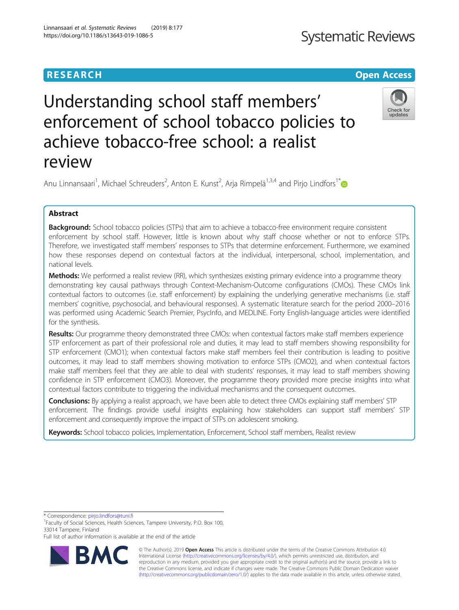# **Systematic Reviews**

# **RESEARCH CHEAR CHEAR CHEAR CHEAR CHEAR CHEAR CHEAR CHEAR CHEAR CHEAR CHEAR CHEAR CHEAR CHEAR CHEAR CHEAR CHEAR**

# Understanding school staff members' enforcement of school tobacco policies to achieve tobacco-free school: a realist review



Anu Linnansaari<sup>1</sup>, Michael Schreuders<sup>2</sup>, Anton E. Kunst<sup>2</sup>, Arja Rimpelä<sup>1,3,4</sup> and Pirjo Lindfors<sup>1[\\*](http://orcid.org/0000-0002-9316-7955)</sup>

# Abstract

**Background:** School tobacco policies (STPs) that aim to achieve a tobacco-free environment require consistent enforcement by school staff. However, little is known about why staff choose whether or not to enforce STPs. Therefore, we investigated staff members' responses to STPs that determine enforcement. Furthermore, we examined how these responses depend on contextual factors at the individual, interpersonal, school, implementation, and national levels.

**Methods:** We performed a realist review (RR), which synthesizes existing primary evidence into a programme theory demonstrating key causal pathways through Context-Mechanism-Outcome configurations (CMOs). These CMOs link contextual factors to outcomes (i.e. staff enforcement) by explaining the underlying generative mechanisms (i.e. staff members' cognitive, psychosocial, and behavioural responses). A systematic literature search for the period 2000–2016 was performed using Academic Search Premier, PsycInfo, and MEDLINE. Forty English-language articles were identified for the synthesis.

Results: Our programme theory demonstrated three CMOs: when contextual factors make staff members experience STP enforcement as part of their professional role and duties, it may lead to staff members showing responsibility for STP enforcement (CMO1); when contextual factors make staff members feel their contribution is leading to positive outcomes, it may lead to staff members showing motivation to enforce STPs (CMO2), and when contextual factors make staff members feel that they are able to deal with students' responses, it may lead to staff members showing confidence in STP enforcement (CMO3). Moreover, the programme theory provided more precise insights into what contextual factors contribute to triggering the individual mechanisms and the consequent outcomes.

Conclusions: By applying a realist approach, we have been able to detect three CMOs explaining staff members' STP enforcement. The findings provide useful insights explaining how stakeholders can support staff members' STP enforcement and consequently improve the impact of STPs on adolescent smoking.

Keywords: School tobacco policies, Implementation, Enforcement, School staff members, Realist review

\* Correspondence: [pirjo.lindfors@tuni.fi](mailto:pirjo.lindfors@tuni.fi) <sup>1</sup>

Full list of author information is available at the end of the article



© The Author(s). 2019 **Open Access** This article is distributed under the terms of the Creative Commons Attribution 4.0 International License [\(http://creativecommons.org/licenses/by/4.0/](http://creativecommons.org/licenses/by/4.0/)), which permits unrestricted use, distribution, and reproduction in any medium, provided you give appropriate credit to the original author(s) and the source, provide a link to the Creative Commons license, and indicate if changes were made. The Creative Commons Public Domain Dedication waiver [\(http://creativecommons.org/publicdomain/zero/1.0/](http://creativecommons.org/publicdomain/zero/1.0/)) applies to the data made available in this article, unless otherwise stated.

Faculty of Social Sciences, Health Sciences, Tampere University, P.O. Box 100, 33014 Tampere, Finland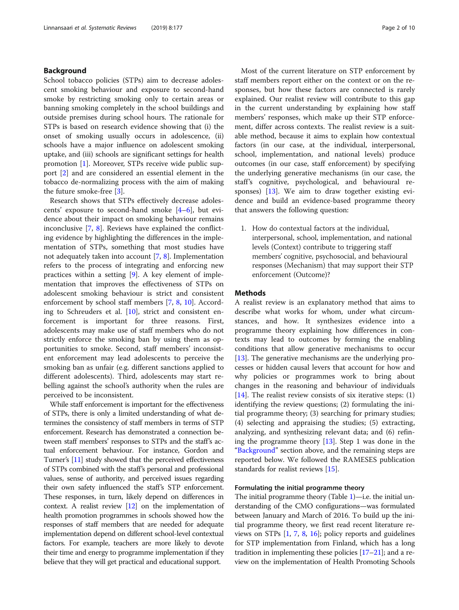# Background

School tobacco policies (STPs) aim to decrease adolescent smoking behaviour and exposure to second-hand smoke by restricting smoking only to certain areas or banning smoking completely in the school buildings and outside premises during school hours. The rationale for STPs is based on research evidence showing that (i) the onset of smoking usually occurs in adolescence, (ii) schools have a major influence on adolescent smoking uptake, and (iii) schools are significant settings for health promotion [[1\]](#page-8-0). Moreover, STPs receive wide public support [\[2\]](#page-8-0) and are considered an essential element in the tobacco de-normalizing process with the aim of making the future smoke-free [[3\]](#page-8-0).

Research shows that STPs effectively decrease adolescents' exposure to second-hand smoke [\[4](#page-8-0)–[6\]](#page-8-0), but evidence about their impact on smoking behaviour remains inconclusive [[7,](#page-8-0) [8\]](#page-8-0). Reviews have explained the conflicting evidence by highlighting the differences in the implementation of STPs, something that most studies have not adequately taken into account [\[7](#page-8-0), [8\]](#page-8-0). Implementation refers to the process of integrating and enforcing new practices within a setting  $[9]$  $[9]$ . A key element of implementation that improves the effectiveness of STPs on adolescent smoking behaviour is strict and consistent enforcement by school staff members [\[7](#page-8-0), [8](#page-8-0), [10\]](#page-8-0). According to Schreuders et al. [\[10](#page-8-0)], strict and consistent enforcement is important for three reasons. First, adolescents may make use of staff members who do not strictly enforce the smoking ban by using them as opportunities to smoke. Second, staff members' inconsistent enforcement may lead adolescents to perceive the smoking ban as unfair (e.g. different sanctions applied to different adolescents). Third, adolescents may start rebelling against the school's authority when the rules are perceived to be inconsistent.

While staff enforcement is important for the effectiveness of STPs, there is only a limited understanding of what determines the consistency of staff members in terms of STP enforcement. Research has demonstrated a connection between staff members' responses to STPs and the staff's actual enforcement behaviour. For instance, Gordon and Turner's [[11](#page-8-0)] study showed that the perceived effectiveness of STPs combined with the staff's personal and professional values, sense of authority, and perceived issues regarding their own safety influenced the staff's STP enforcement. These responses, in turn, likely depend on differences in context. A realist review  $[12]$  $[12]$  on the implementation of health promotion programmes in schools showed how the responses of staff members that are needed for adequate implementation depend on different school-level contextual factors. For example, teachers are more likely to devote their time and energy to programme implementation if they believe that they will get practical and educational support.

Most of the current literature on STP enforcement by staff members report either on the context or on the responses, but how these factors are connected is rarely explained. Our realist review will contribute to this gap in the current understanding by explaining how staff members' responses, which make up their STP enforcement, differ across contexts. The realist review is a suitable method, because it aims to explain how contextual factors (in our case, at the individual, interpersonal, school, implementation, and national levels) produce outcomes (in our case, staff enforcement) by specifying the underlying generative mechanisms (in our case, the staff's cognitive, psychological, and behavioural responses) [[13\]](#page-8-0). We aim to draw together existing evidence and build an evidence-based programme theory that answers the following question:

1. How do contextual factors at the individual, interpersonal, school, implementation, and national levels (Context) contribute to triggering staff members' cognitive, psychosocial, and behavioural responses (Mechanism) that may support their STP enforcement (Outcome)?

## Methods

A realist review is an explanatory method that aims to describe what works for whom, under what circumstances, and how. It synthesizes evidence into a programme theory explaining how differences in contexts may lead to outcomes by forming the enabling conditions that allow generative mechanisms to occur [[13\]](#page-8-0). The generative mechanisms are the underlying processes or hidden causal levers that account for how and why policies or programmes work to bring about changes in the reasoning and behaviour of individuals [[14\]](#page-8-0). The realist review consists of six iterative steps: (1) identifying the review questions; (2) formulating the initial programme theory; (3) searching for primary studies; (4) selecting and appraising the studies; (5) extracting, analyzing, and synthesizing relevant data; and (6) refining the programme theory [\[13\]](#page-8-0). Step 1 was done in the "Background" section above, and the remaining steps are reported below. We followed the RAMESES publication standards for realist reviews [\[15](#page-8-0)].

# Formulating the initial programme theory

The initial programme theory (Table [1](#page-2-0))—i.e. the initial understanding of the CMO configurations—was formulated between January and March of 2016. To build up the initial programme theory, we first read recent literature reviews on STPs [\[1,](#page-8-0) [7](#page-8-0), [8,](#page-8-0) [16\]](#page-8-0); policy reports and guidelines for STP implementation from Finland, which has a long tradition in implementing these policies [[17](#page-8-0)–[21\]](#page-8-0); and a review on the implementation of Health Promoting Schools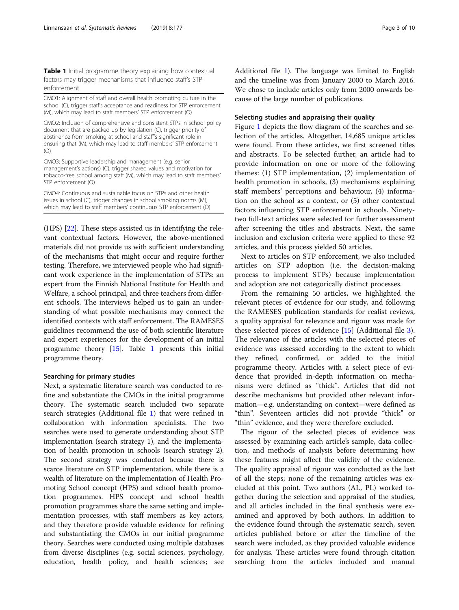<span id="page-2-0"></span>Table 1 Initial programme theory explaining how contextual factors may trigger mechanisms that influence staff's STP enforcement

CMO1: Alignment of staff and overall health promoting culture in the school (C), trigger staff's acceptance and readiness for STP enforcement (M), which may lead to staff members' STP enforcement (O)

CMO2: Inclusion of comprehensive and consistent STPs in school policy document that are packed up by legislation (C), trigger priority of abstinence from smoking at school and staff's significant role in ensuring that (M), which may lead to staff members' STP enforcement  $($  $\cap$  $)$ 

CMO3: Supportive leadership and management (e.g. senior management's actions) (C), trigger shared values and motivation for tobacco-free school among staff (M), which may lead to staff members' STP enforcement (O)

CMO4: Continuous and sustainable focus on STPs and other health issues in school (C), trigger changes in school smoking norms (M), which may lead to staff members' continuous STP enforcement (O)

(HPS) [[22](#page-8-0)]. These steps assisted us in identifying the relevant contextual factors. However, the above-mentioned materials did not provide us with sufficient understanding of the mechanisms that might occur and require further testing. Therefore, we interviewed people who had significant work experience in the implementation of STPs: an expert from the Finnish National Institute for Health and Welfare, a school principal, and three teachers from different schools. The interviews helped us to gain an understanding of what possible mechanisms may connect the identified contexts with staff enforcement. The RAMESES guidelines recommend the use of both scientific literature and expert experiences for the development of an initial programme theory [\[15](#page-8-0)]. Table 1 presents this initial programme theory.

## Searching for primary studies

Next, a systematic literature search was conducted to refine and substantiate the CMOs in the initial programme theory. The systematic search included two separate search strategies (Additional file [1](#page-8-0)) that were refined in collaboration with information specialists. The two searches were used to generate understanding about STP implementation (search strategy 1), and the implementation of health promotion in schools (search strategy 2). The second strategy was conducted because there is scarce literature on STP implementation, while there is a wealth of literature on the implementation of Health Promoting School concept (HPS) and school health promotion programmes. HPS concept and school health promotion programmes share the same setting and implementation processes, with staff members as key actors, and they therefore provide valuable evidence for refining and substantiating the CMOs in our initial programme theory. Searches were conducted using multiple databases from diverse disciplines (e.g. social sciences, psychology, education, health policy, and health sciences; see Additional file [1](#page-8-0)). The language was limited to English and the timeline was from January 2000 to March 2016. We chose to include articles only from 2000 onwards because of the large number of publications.

# Selecting studies and appraising their quality

Figure [1](#page-3-0) depicts the flow diagram of the searches and selection of the articles. Altogether, 14,685 unique articles were found. From these articles, we first screened titles and abstracts. To be selected further, an article had to provide information on one or more of the following themes: (1) STP implementation, (2) implementation of health promotion in schools, (3) mechanisms explaining staff members' perceptions and behaviour, (4) information on the school as a context, or (5) other contextual factors influencing STP enforcement in schools. Ninetytwo full-text articles were selected for further assessment after screening the titles and abstracts. Next, the same inclusion and exclusion criteria were applied to these 92 articles, and this process yielded 50 articles.

Next to articles on STP enforcement, we also included articles on STP adoption (i.e. the decision-making process to implement STPs) because implementation and adoption are not categorically distinct processes.

From the remaining 50 articles, we highlighted the relevant pieces of evidence for our study, and following the RAMESES publication standards for realist reviews, a quality appraisal for relevance and rigour was made for these selected pieces of evidence [[15](#page-8-0)] (Additional file [3](#page-8-0)). The relevance of the articles with the selected pieces of evidence was assessed according to the extent to which they refined, confirmed, or added to the initial programme theory. Articles with a select piece of evidence that provided in-depth information on mechanisms were defined as "thick". Articles that did not describe mechanisms but provided other relevant information—e.g. understanding on context—were defined as "thin". Seventeen articles did not provide "thick" or "thin" evidence, and they were therefore excluded.

The rigour of the selected pieces of evidence was assessed by examining each article's sample, data collection, and methods of analysis before determining how these features might affect the validity of the evidence. The quality appraisal of rigour was conducted as the last of all the steps; none of the remaining articles was excluded at this point. Two authors (AL, PL) worked together during the selection and appraisal of the studies, and all articles included in the final synthesis were examined and approved by both authors. In addition to the evidence found through the systematic search, seven articles published before or after the timeline of the search were included, as they provided valuable evidence for analysis. These articles were found through citation searching from the articles included and manual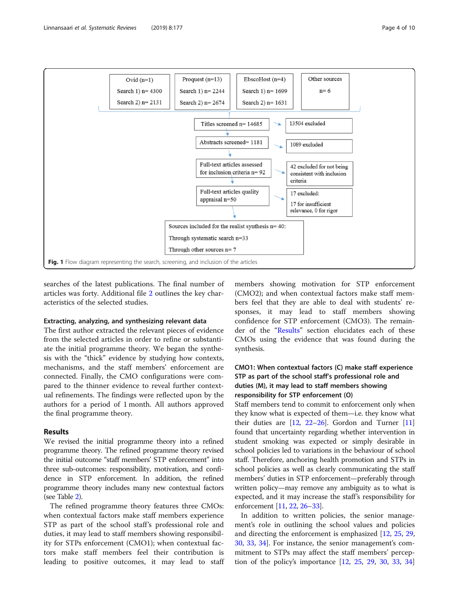<span id="page-3-0"></span>

searches of the latest publications. The final number of articles was forty. Additional file [2](#page-8-0) outlines the key characteristics of the selected studies.

### Extracting, analyzing, and synthesizing relevant data

The first author extracted the relevant pieces of evidence from the selected articles in order to refine or substantiate the initial programme theory. We began the synthesis with the "thick" evidence by studying how contexts, mechanisms, and the staff members' enforcement are connected. Finally, the CMO configurations were compared to the thinner evidence to reveal further contextual refinements. The findings were reflected upon by the authors for a period of 1 month. All authors approved the final programme theory.

# Results

We revised the initial programme theory into a refined programme theory. The refined programme theory revised the initial outcome "staff members' STP enforcement" into three sub-outcomes: responsibility, motivation, and confidence in STP enforcement. In addition, the refined programme theory includes many new contextual factors (see Table [2](#page-4-0)).

The refined programme theory features three CMOs: when contextual factors make staff members experience STP as part of the school staff's professional role and duties, it may lead to staff members showing responsibility for STPs enforcement (CMO1); when contextual factors make staff members feel their contribution is leading to positive outcomes, it may lead to staff

members showing motivation for STP enforcement (CMO2); and when contextual factors make staff members feel that they are able to deal with students' responses, it may lead to staff members showing confidence for STP enforcement (CMO3). The remainder of the "Results" section elucidates each of these CMOs using the evidence that was found during the synthesis.

# CMO1: When contextual factors (C) make staff experience STP as part of the school staff's professional role and duties (M), it may lead to staff members showing responsibility for STP enforcement (O)

Staff members tend to commit to enforcement only when they know what is expected of them—i.e. they know what their duties are  $[12, 22-26]$  $[12, 22-26]$  $[12, 22-26]$  $[12, 22-26]$  $[12, 22-26]$  $[12, 22-26]$ . Gordon and Turner  $[11]$  $[11]$  $[11]$ found that uncertainty regarding whether intervention in student smoking was expected or simply desirable in school policies led to variations in the behaviour of school staff. Therefore, anchoring health promotion and STPs in school policies as well as clearly communicating the staff members' duties in STP enforcement—preferably through written policy—may remove any ambiguity as to what is expected, and it may increase the staff's responsibility for enforcement [[11,](#page-8-0) [22,](#page-8-0) [26](#page-9-0)–[33\]](#page-9-0).

In addition to written policies, the senior management's role in outlining the school values and policies and directing the enforcement is emphasized [\[12](#page-8-0), [25](#page-9-0), [29](#page-9-0), [30,](#page-9-0) [33](#page-9-0), [34\]](#page-9-0). For instance, the senior management's commitment to STPs may affect the staff members' perception of the policy's importance [\[12](#page-8-0), [25,](#page-9-0) [29](#page-9-0), [30,](#page-9-0) [33,](#page-9-0) [34](#page-9-0)]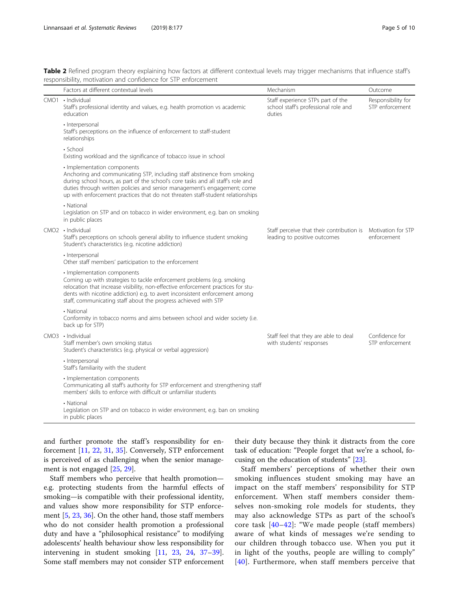<span id="page-4-0"></span>Table 2 Refined program theory explaining how factors at different contextual levels may trigger mechanisms that influence staff's responsibility, motivation and confidence for STP enforcement

|  | Factors at different contextual levels                                                                                                                                                                                                                                                                                                                    | Mechanism                                                                                    | Outcome                               |
|--|-----------------------------------------------------------------------------------------------------------------------------------------------------------------------------------------------------------------------------------------------------------------------------------------------------------------------------------------------------------|----------------------------------------------------------------------------------------------|---------------------------------------|
|  | CMO1 · Individual<br>Staff's professional identity and values, e.g. health promotion vs academic<br>education                                                                                                                                                                                                                                             | Staff experience STPs part of the<br>school staff's professional role and<br>duties          | Responsibility for<br>STP enforcement |
|  | • Interpersonal<br>Staff's perceptions on the influence of enforcement to staff-student<br>relationships                                                                                                                                                                                                                                                  |                                                                                              |                                       |
|  | $\cdot$ School<br>Existing workload and the significance of tobacco issue in school                                                                                                                                                                                                                                                                       |                                                                                              |                                       |
|  | · Implementation components<br>Anchoring and communicating STP, including staff abstinence from smoking<br>during school hours, as part of the school's core tasks and all staff's role and<br>duties through written policies and senior management's engagement; come<br>up with enforcement practices that do not threaten staff-student relationships |                                                                                              |                                       |
|  | • National<br>Legislation on STP and on tobacco in wider environment, e.g. ban on smoking<br>in public places                                                                                                                                                                                                                                             |                                                                                              |                                       |
|  | CMO <sub>2</sub> · Individual<br>Staff's perceptions on schools general ability to influence student smoking<br>Student's characteristics (e.g. nicotine addiction)                                                                                                                                                                                       | Staff perceive that their contribution is Motivation for STP<br>leading to positive outcomes | enforcement                           |
|  | · Interpersonal<br>Other staff members' participation to the enforcement                                                                                                                                                                                                                                                                                  |                                                                                              |                                       |
|  | · Implementation components<br>Coming up with strategies to tackle enforcement problems (e.g. smoking<br>relocation that increase visibility, non-effective enforcement practices for stu-<br>dents with nicotine addiction) e.g. to avert inconsistent enforcement among<br>staff, communicating staff about the progress achieved with STP              |                                                                                              |                                       |
|  | • National<br>Conformity in tobacco norms and aims between school and wider society (i.e.<br>back up for STP)                                                                                                                                                                                                                                             |                                                                                              |                                       |
|  | CMO3 · Individual<br>Staff member's own smoking status<br>Student's characteristics (e.g. physical or verbal aggression)                                                                                                                                                                                                                                  | Staff feel that they are able to deal<br>with students' responses                            | Confidence for<br>STP enforcement     |
|  | • Interpersonal<br>Staff's familiarity with the student                                                                                                                                                                                                                                                                                                   |                                                                                              |                                       |
|  | · Implementation components<br>Communicating all staff's authority for STP enforcement and strengthening staff<br>members' skills to enforce with difficult or unfamiliar students                                                                                                                                                                        |                                                                                              |                                       |
|  | • National<br>Legislation on STP and on tobacco in wider environment, e.g. ban on smoking<br>in public places                                                                                                                                                                                                                                             |                                                                                              |                                       |

and further promote the staff's responsibility for enforcement [[11,](#page-8-0) [22,](#page-8-0) [31,](#page-9-0) [35](#page-9-0)]. Conversely, STP enforcement is perceived of as challenging when the senior management is not engaged [\[25,](#page-9-0) [29\]](#page-9-0).

Staff members who perceive that health promotion e.g. protecting students from the harmful effects of smoking—is compatible with their professional identity, and values show more responsibility for STP enforcement [[5,](#page-8-0) [23,](#page-8-0) [36](#page-9-0)]. On the other hand, those staff members who do not consider health promotion a professional duty and have a "philosophical resistance" to modifying adolescents' health behaviour show less responsibility for intervening in student smoking [[11,](#page-8-0) [23,](#page-8-0) [24](#page-8-0), [37](#page-9-0)–[39](#page-9-0)]. Some staff members may not consider STP enforcement their duty because they think it distracts from the core task of education: "People forget that we're a school, focusing on the education of students" [\[23\]](#page-8-0).

Staff members' perceptions of whether their own smoking influences student smoking may have an impact on the staff members' responsibility for STP enforcement. When staff members consider themselves non-smoking role models for students, they may also acknowledge STPs as part of the school's core task [[40](#page-9-0)–[42\]](#page-9-0): "We made people (staff members) aware of what kinds of messages we're sending to our children through tobacco use. When you put it in light of the youths, people are willing to comply" [[40](#page-9-0)]. Furthermore, when staff members perceive that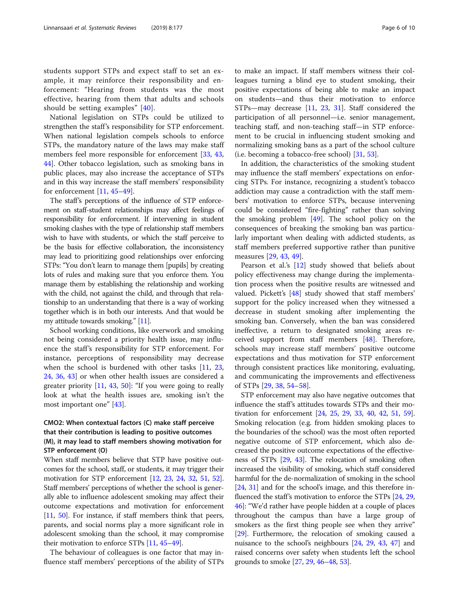students support STPs and expect staff to set an example, it may reinforce their responsibility and enforcement: "Hearing from students was the most effective, hearing from them that adults and schools should be setting examples" [[40\]](#page-9-0).

National legislation on STPs could be utilized to strengthen the staff's responsibility for STP enforcement. When national legislation compels schools to enforce STPs, the mandatory nature of the laws may make staff members feel more responsible for enforcement [\[33,](#page-9-0) [43](#page-9-0), [44\]](#page-9-0). Other tobacco legislation, such as smoking bans in public places, may also increase the acceptance of STPs and in this way increase the staff members' responsibility for enforcement [[11,](#page-8-0) [45](#page-9-0)–[49](#page-9-0)].

The staff's perceptions of the influence of STP enforcement on staff-student relationships may affect feelings of responsibility for enforcement. If intervening in student smoking clashes with the type of relationship staff members wish to have with students, or which the staff perceive to be the basis for effective collaboration, the inconsistency may lead to prioritizing good relationships over enforcing STPs: "You don't learn to manage them [pupils] by creating lots of rules and making sure that you enforce them. You manage them by establishing the relationship and working with the child, not against the child, and through that relationship to an understanding that there is a way of working together which is in both our interests. And that would be my attitude towards smoking." [\[11](#page-8-0)].

School working conditions, like overwork and smoking not being considered a priority health issue, may influence the staff's responsibility for STP enforcement. For instance, perceptions of responsibility may decrease when the school is burdened with other tasks [\[11,](#page-8-0) [23](#page-8-0), [24,](#page-8-0) [36,](#page-9-0) [43](#page-9-0)] or when other health issues are considered a greater priority [[11,](#page-8-0) [43](#page-9-0), [50\]](#page-9-0): "If you were going to really look at what the health issues are, smoking isn't the most important one" [\[43](#page-9-0)].

# CMO2: When contextual factors (C) make staff perceive that their contribution is leading to positive outcomes (M), it may lead to staff members showing motivation for STP enforcement (O)

When staff members believe that STP have positive outcomes for the school, staff, or students, it may trigger their motivation for STP enforcement [\[12](#page-8-0), [23,](#page-8-0) [24](#page-8-0), [32](#page-9-0), [51,](#page-9-0) [52](#page-9-0)]. Staff members' perceptions of whether the school is generally able to influence adolescent smoking may affect their outcome expectations and motivation for enforcement [[11](#page-8-0), [50](#page-9-0)]. For instance, if staff members think that peers, parents, and social norms play a more significant role in adolescent smoking than the school, it may compromise their motivation to enforce STPs [\[11,](#page-8-0) [45](#page-9-0)–[49\]](#page-9-0).

The behaviour of colleagues is one factor that may influence staff members' perceptions of the ability of STPs

to make an impact. If staff members witness their colleagues turning a blind eye to student smoking, their positive expectations of being able to make an impact on students—and thus their motivation to enforce STPs—may decrease [\[11](#page-8-0), [23](#page-8-0), [31](#page-9-0)]. Staff considered the participation of all personnel—i.e. senior management, teaching staff, and non-teaching staff—in STP enforcement to be crucial in influencing student smoking and normalizing smoking bans as a part of the school culture (i.e. becoming a tobacco-free school) [\[31](#page-9-0), [53](#page-9-0)].

In addition, the characteristics of the smoking student may influence the staff members' expectations on enforcing STPs. For instance, recognizing a student's tobacco addiction may cause a contradiction with the staff members' motivation to enforce STPs, because intervening could be considered "fire-fighting" rather than solving the smoking problem [\[49\]](#page-9-0). The school policy on the consequences of breaking the smoking ban was particularly important when dealing with addicted students, as staff members preferred supportive rather than punitive measures [[29,](#page-9-0) [43,](#page-9-0) [49\]](#page-9-0).

Pearson et al.'s [\[12](#page-8-0)] study showed that beliefs about policy effectiveness may change during the implementation process when the positive results are witnessed and valued. Pickett's [\[48](#page-9-0)] study showed that staff members' support for the policy increased when they witnessed a decrease in student smoking after implementing the smoking ban. Conversely, when the ban was considered ineffective, a return to designated smoking areas received support from staff members [\[48\]](#page-9-0). Therefore, schools may increase staff members' positive outcome expectations and thus motivation for STP enforcement through consistent practices like monitoring, evaluating, and communicating the improvements and effectiveness of STPs [\[29](#page-9-0), [38](#page-9-0), [54](#page-9-0)–[58\]](#page-9-0).

STP enforcement may also have negative outcomes that influence the staff's attitudes towards STPs and their motivation for enforcement [\[24](#page-8-0), [25,](#page-9-0) [29,](#page-9-0) [33,](#page-9-0) [40,](#page-9-0) [42,](#page-9-0) [51](#page-9-0), [59](#page-9-0)]. Smoking relocation (e.g. from hidden smoking places to the boundaries of the school) was the most often reported negative outcome of STP enforcement, which also decreased the positive outcome expectations of the effectiveness of STPs [[29](#page-9-0), [43\]](#page-9-0). The relocation of smoking often increased the visibility of smoking, which staff considered harmful for the de-normalization of smoking in the school [[24](#page-8-0), [31\]](#page-9-0) and for the school's image, and this therefore influenced the staff's motivation to enforce the STPs [\[24](#page-8-0), [29](#page-9-0), [46](#page-9-0)]: "We'd rather have people hidden at a couple of places throughout the campus than have a large group of smokers as the first thing people see when they arrive" [[29](#page-9-0)]. Furthermore, the relocation of smoking caused a nuisance to the school's neighbours [\[24](#page-8-0), [29,](#page-9-0) [43,](#page-9-0) [47\]](#page-9-0) and raised concerns over safety when students left the school grounds to smoke [\[27](#page-9-0), [29](#page-9-0), [46](#page-9-0)–[48](#page-9-0), [53\]](#page-9-0).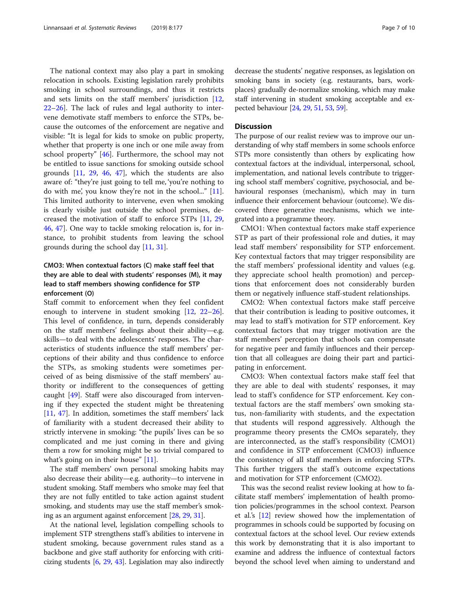The national context may also play a part in smoking relocation in schools. Existing legislation rarely prohibits smoking in school surroundings, and thus it restricts and sets limits on the staff members' jurisdiction [[12](#page-8-0), [22](#page-8-0)–[26](#page-9-0)]. The lack of rules and legal authority to intervene demotivate staff members to enforce the STPs, because the outcomes of the enforcement are negative and visible: "It is legal for kids to smoke on public property, whether that property is one inch or one mile away from school property" [\[46](#page-9-0)]. Furthermore, the school may not be entitled to issue sanctions for smoking outside school grounds  $[11, 29, 46, 47]$  $[11, 29, 46, 47]$  $[11, 29, 46, 47]$  $[11, 29, 46, 47]$  $[11, 29, 46, 47]$  $[11, 29, 46, 47]$  $[11, 29, 46, 47]$  $[11, 29, 46, 47]$ , which the students are also aware of: "they're just going to tell me, 'you're nothing to do with me', you know they're not in the school..." [\[11](#page-8-0)]. This limited authority to intervene, even when smoking is clearly visible just outside the school premises, decreased the motivation of staff to enforce STPs [[11,](#page-8-0) [29](#page-9-0), [46,](#page-9-0) [47\]](#page-9-0). One way to tackle smoking relocation is, for instance, to prohibit students from leaving the school grounds during the school day [[11,](#page-8-0) [31\]](#page-9-0).

# CMO3: When contextual factors (C) make staff feel that they are able to deal with students' responses (M), it may lead to staff members showing confidence for STP enforcement (O)

Staff commit to enforcement when they feel confident enough to intervene in student smoking [\[12](#page-8-0), [22](#page-8-0)–[26](#page-9-0)]. This level of confidence, in turn, depends considerably on the staff members' feelings about their ability—e.g. skills—to deal with the adolescents' responses. The characteristics of students influence the staff members' perceptions of their ability and thus confidence to enforce the STPs, as smoking students were sometimes perceived of as being dismissive of the staff members' authority or indifferent to the consequences of getting caught [\[49](#page-9-0)]. Staff were also discouraged from intervening if they expected the student might be threatening [[11,](#page-8-0) [47](#page-9-0)]. In addition, sometimes the staff members' lack of familiarity with a student decreased their ability to strictly intervene in smoking: "the pupils' lives can be so complicated and me just coming in there and giving them a row for smoking might be so trivial compared to what's going on in their house" [[11\]](#page-8-0).

The staff members' own personal smoking habits may also decrease their ability—e.g. authority—to intervene in student smoking. Staff members who smoke may feel that they are not fully entitled to take action against student smoking, and students may use the staff member's smoking as an argument against enforcement [[28](#page-9-0), [29,](#page-9-0) [31\]](#page-9-0).

At the national level, legislation compelling schools to implement STP strengthens staff's abilities to intervene in student smoking, because government rules stand as a backbone and give staff authority for enforcing with criticizing students [[6](#page-8-0), [29,](#page-9-0) [43\]](#page-9-0). Legislation may also indirectly decrease the students' negative responses, as legislation on smoking bans in society (e.g. restaurants, bars, workplaces) gradually de-normalize smoking, which may make staff intervening in student smoking acceptable and expected behaviour [\[24,](#page-8-0) [29,](#page-9-0) [51](#page-9-0), [53,](#page-9-0) [59\]](#page-9-0).

# **Discussion**

The purpose of our realist review was to improve our understanding of why staff members in some schools enforce STPs more consistently than others by explicating how contextual factors at the individual, interpersonal, school, implementation, and national levels contribute to triggering school staff members' cognitive, psychosocial, and behavioural responses (mechanism), which may in turn influence their enforcement behaviour (outcome). We discovered three generative mechanisms, which we integrated into a programme theory.

CMO1: When contextual factors make staff experience STP as part of their professional role and duties, it may lead staff members' responsibility for STP enforcement. Key contextual factors that may trigger responsibility are the staff members' professional identity and values (e.g. they appreciate school health promotion) and perceptions that enforcement does not considerably burden them or negatively influence staff-student relationships.

CMO2: When contextual factors make staff perceive that their contribution is leading to positive outcomes, it may lead to staff's motivation for STP enforcement. Key contextual factors that may trigger motivation are the staff members' perception that schools can compensate for negative peer and family influences and their perception that all colleagues are doing their part and participating in enforcement.

CMO3: When contextual factors make staff feel that they are able to deal with students' responses, it may lead to staff's confidence for STP enforcement. Key contextual factors are the staff members' own smoking status, non-familiarity with students, and the expectation that students will respond aggressively. Although the programme theory presents the CMOs separately, they are interconnected, as the staff's responsibility (CMO1) and confidence in STP enforcement (CMO3) influence the consistency of all staff members in enforcing STPs. This further triggers the staff's outcome expectations and motivation for STP enforcement (CMO2).

This was the second realist review looking at how to facilitate staff members' implementation of health promotion policies/programmes in the school context. Pearson et al.'s [\[12\]](#page-8-0) review showed how the implementation of programmes in schools could be supported by focusing on contextual factors at the school level. Our review extends this work by demonstrating that it is also important to examine and address the influence of contextual factors beyond the school level when aiming to understand and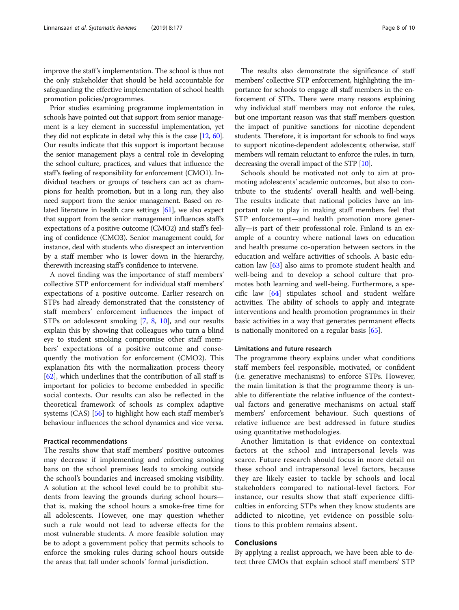improve the staff's implementation. The school is thus not the only stakeholder that should be held accountable for safeguarding the effective implementation of school health promotion policies/programmes.

Prior studies examining programme implementation in schools have pointed out that support from senior management is a key element in successful implementation, yet they did not explicate in detail why this is the case [[12](#page-8-0), [60](#page-9-0)]. Our results indicate that this support is important because the senior management plays a central role in developing the school culture, practices, and values that influence the staff's feeling of responsibility for enforcement (CMO1). Individual teachers or groups of teachers can act as champions for health promotion, but in a long run, they also need support from the senior management. Based on related literature in health care settings [\[61\]](#page-9-0), we also expect that support from the senior management influences staff's expectations of a positive outcome (CMO2) and staff's feeling of confidence (CMO3). Senior management could, for instance, deal with students who disrespect an intervention by a staff member who is lower down in the hierarchy, therewith increasing staff's confidence to intervene.

A novel finding was the importance of staff members' collective STP enforcement for individual staff members' expectations of a positive outcome. Earlier research on STPs had already demonstrated that the consistency of staff members' enforcement influences the impact of STPs on adolescent smoking [\[7,](#page-8-0) [8](#page-8-0), [10](#page-8-0)], and our results explain this by showing that colleagues who turn a blind eye to student smoking compromise other staff members' expectations of a positive outcome and consequently the motivation for enforcement (CMO2). This explanation fits with the normalization process theory [[62\]](#page-9-0), which underlines that the contribution of all staff is important for policies to become embedded in specific social contexts. Our results can also be reflected in the theoretical framework of schools as complex adaptive systems (CAS) [[56](#page-9-0)] to highlight how each staff member's behaviour influences the school dynamics and vice versa.

# Practical recommendations

The results show that staff members' positive outcomes may decrease if implementing and enforcing smoking bans on the school premises leads to smoking outside the school's boundaries and increased smoking visibility. A solution at the school level could be to prohibit students from leaving the grounds during school hours that is, making the school hours a smoke-free time for all adolescents. However, one may question whether such a rule would not lead to adverse effects for the most vulnerable students. A more feasible solution may be to adopt a government policy that permits schools to enforce the smoking rules during school hours outside the areas that fall under schools' formal jurisdiction.

The results also demonstrate the significance of staff members' collective STP enforcement, highlighting the importance for schools to engage all staff members in the enforcement of STPs. There were many reasons explaining why individual staff members may not enforce the rules, but one important reason was that staff members question the impact of punitive sanctions for nicotine dependent students. Therefore, it is important for schools to find ways to support nicotine-dependent adolescents; otherwise, staff members will remain reluctant to enforce the rules, in turn, decreasing the overall impact of the STP [\[10](#page-8-0)].

Schools should be motivated not only to aim at promoting adolescents' academic outcomes, but also to contribute to the students' overall health and well-being. The results indicate that national policies have an important role to play in making staff members feel that STP enforcement—and health promotion more generally—is part of their professional role. Finland is an example of a country where national laws on education and health presume co-operation between sectors in the education and welfare activities of schools. A basic education law [\[63](#page-9-0)] also aims to promote student health and well-being and to develop a school culture that promotes both learning and well-being. Furthermore, a specific law [\[64\]](#page-9-0) stipulates school and student welfare activities. The ability of schools to apply and integrate interventions and health promotion programmes in their basic activities in a way that generates permanent effects is nationally monitored on a regular basis [\[65\]](#page-9-0).

# Limitations and future research

The programme theory explains under what conditions staff members feel responsible, motivated, or confident (i.e. generative mechanisms) to enforce STPs. However, the main limitation is that the programme theory is unable to differentiate the relative influence of the contextual factors and generative mechanisms on actual staff members' enforcement behaviour. Such questions of relative influence are best addressed in future studies using quantitative methodologies.

Another limitation is that evidence on contextual factors at the school and intrapersonal levels was scarce. Future research should focus in more detail on these school and intrapersonal level factors, because they are likely easier to tackle by schools and local stakeholders compared to national-level factors. For instance, our results show that staff experience difficulties in enforcing STPs when they know students are addicted to nicotine, yet evidence on possible solutions to this problem remains absent.

# Conclusions

By applying a realist approach, we have been able to detect three CMOs that explain school staff members' STP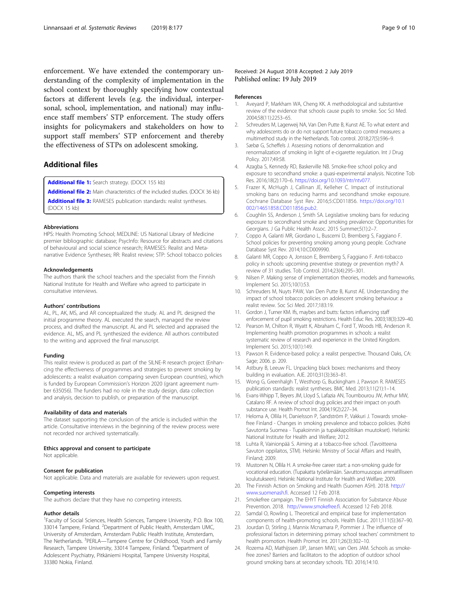<span id="page-8-0"></span>enforcement. We have extended the contemporary understanding of the complexity of implementation in the school context by thoroughly specifying how contextual factors at different levels (e.g. the individual, interpersonal, school, implementation, and national) may influence staff members' STP enforcement. The study offers insights for policymakers and stakeholders on how to support staff members' STP enforcement and thereby the effectiveness of STPs on adolescent smoking.

# Additional files

[Additional file 1:](https://doi.org/10.1186/s13643-019-1086-5) Search strategy. (DOCX 155 kb)

[Additional file 2:](https://doi.org/10.1186/s13643-019-1086-5) Main characteristics of the included studies. (DOCX 36 kb) [Additional file 3:](https://doi.org/10.1186/s13643-019-1086-5) RAMESES publication standards: realist syntheses. (DOCX 15 kb)

#### Abbreviations

HPS: Health Promoting School; MEDLINE: US National Library of Medicine premier bibliographic database; PsycInfo: Resource for abstracts and citations of behavioural and social science research; RAMESES: Realist and Metanarrative Evidence Syntheses; RR: Realist review; STP: School tobacco policies

#### Acknowledgements

The authors thank the school teachers and the specialist from the Finnish National Institute for Health and Welfare who agreed to participate in consultative interviews.

#### Authors' contributions

AL, PL, AK, MS, and AR conceptualized the study. AL and PL designed the initial programme theory. AL executed the search, managed the review process, and drafted the manuscript. AL and PL selected and appraised the evidence. AL, MS, and PL synthesized the evidence. All authors contributed to the writing and approved the final manuscript.

#### Funding

This realist review is produced as part of the SILNE-R research project (Enhancing the effectiveness of programmes and strategies to prevent smoking by adolescents: a realist evaluation comparing seven European countries), which is funded by European Commission's Horizon 2020 (grant agreement number 635056). The funders had no role in the study design, data collection and analysis, decision to publish, or preparation of the manuscript.

# Availability of data and materials

The dataset supporting the conclusion of the article is included within the article. Consultative interviews in the beginning of the review process were not recorded nor archived systematically.

#### Ethics approval and consent to participate

Not applicable.

#### Consent for publication

Not applicable. Data and materials are available for reviewers upon request.

#### Competing interests

The authors declare that they have no competing interests.

#### Author details

<sup>1</sup> Faculty of Social Sciences, Health Sciences, Tampere University, P.O. Box 100, 33014 Tampere, Finland. <sup>2</sup>Department of Public Health, Amsterdam UMC, University of Amsterdam, Amsterdam Public Health Institute, Amsterdam, The Netherlands. <sup>3</sup>PERLA—Tampere Centre for Childhood, Youth and Family Research, Tampere University, 33014 Tampere, Finland. <sup>4</sup>Department of Adolescent Psychiatry, Pitkäniemi Hospital, Tampere University Hospital, 33380 Nokia, Finland.

# Received: 24 August 2018 Accepted: 2 July 2019 Published online: 19 July 2019

#### References

- 1. Aveyard P, Markham WA, Cheng KK. A methodological and substantive review of the evidence that schools cause pupils to smoke. Soc Sci Med. 2004;58(11):2253–65.
- 2. Schreuders M, Lagerweij NA, Van Den Putte B, Kunst AE. To what extent and why adolescents do or do not support future tobacco control measures: a multimethod study in the Netherlands. Tob control. 2018;27(5):596–9.
- 3. Sæbø G, Scheffels J. Assessing notions of denormalization and renormalization of smoking in light of e-cigarette regulation. Int J Drug Policy. 2017;49:58.
- 4. Azagba S, Kennedy RD, Baskerville NB. Smoke-free school policy and exposure to secondhand smoke: a quasi-experimental analysis. Nicotine Tob Res. 2016;18(2):170–6. <https://doi.org/10.1093/ntr/ntv077>.
- 5. Frazer K, McHugh J, Callinan JE, Kelleher C. Impact of institutional smoking bans on reducing harms and secondhand smoke exposure. Cochrane Database Syst Rev. 2016;5:CD011856. [https://doi.org/10.1](https://doi.org/10.1002/14651858.CD011856.pub2) [002/14651858.CD011856.pub2.](https://doi.org/10.1002/14651858.CD011856.pub2)
- 6. Coughlin SS, Anderson J, Smith SA. Legislative smoking bans for reducing exposure to secondhand smoke and smoking prevalence: Opportunities for Georgians. J Ga Public Health Assoc. 2015 Summer;5(1):2–7.
- 7. Coppo A, Galanti MR, Giordano L, Buscemi D, Bremberg S, Faggiano F. School policies for preventing smoking among young people. Cochrane Database Syst Rev. 2014;10:CD009990.
- 8. Galanti MR, Coppo A, Jonsson E, Bremberg S, Faggiano F. Anti-tobacco policy in schools: upcoming preventive strategy or prevention myth? A review of 31 studies. Tob Control. 2014;23(4):295–301.
- 9. Nilsen P. Making sense of implementation theories, models and frameworks. Implement Sci. 2015;10(1):53.
- 10. Schreuders M, Nuyts PAW, Van Den Putte B, Kunst AE. Understanding the impact of school tobacco policies on adolescent smoking behaviour: a realist review. Soc Sci Med. 2017;183:19.
- 11. Gordon J, Turner KM. Ifs, maybes and butts: factors influencing staff enforcement of pupil smoking restrictions. Health Educ Res. 2003;18(3):329–40.
- 12. Pearson M, Chilton R, Wyatt K, Abraham C, Ford T, Woods HB, Anderson R. Implementing health promotion programmes in schools: a realist systematic review of research and experience in the United Kingdom. Implement Sci. 2015;10(1):149.
- 13. Pawson R. Evidence-based policy: a realist perspective. Thousand Oaks, CA: Sage; 2006. p. 209.
- 14. Astbury B, Leeuw FL. Unpacking black boxes: mechanisms and theory building in evaluation. AJE. 2010;31(3):363–81.
- 15. Wong G, Greenhalgh T, Westhorp G, Buckingham J, Pawson R. RAMESES publication standards: realist syntheses. BMC Med. 2013;11(21):1–14.
- 16. Evans-Whipp T, Beyers JM, Lloyd S, Lafazia AN, Toumbourou JW, Arthur MW, Catalano RF. A review of school drug policies and their impact on youth substance use. Health Promot Int. 2004;19(2):227–34.
- 17. Heloma A, Ollila H, Danielsson P, Sandström P, Vakkuri J. Towards smokefree Finland - Changes in smoking prevalence and tobacco policies. (Kohti Savutonta Suomea - Tupakoinnin ja tupakkapolitiikan muutokset). Helsinki: National Institute for Health and Welfare; 2012.
- 18. Luhta R, Vainionpää S. Aiming at a tobacco-free school. (Tavoitteena Savuton oppilaitos, STM). Helsinki: Ministry of Social Affairs and Health, Finland; 2009.
- 19. Mustonen N, Ollila H. A smoke-free career start: a non-smoking guide for vocational education. (Tupakatta työelämään. Savuttomuusopas ammatilliseen koulutukseen). Helsinki: National Institute for Health and Welfare; 2009.
- 20. The Finnish Action on Smoking and Health (Suomen ASH). 2018. [http://](http://www.suomenash.fi) [www.suomenash.fi](http://www.suomenash.fi). Accessed 12 Feb 2018.
- 21. Smokefree campaign. The EHYT Finnish Association for Substance Abuse Prevention. 2018. <http://www.smokefree.fi>. Accessed 12 Feb 2018.
- 22. Samdal O, Rowling L. Theoretical and empirical base for implementation components of health-promoting schools. Health Educ. 2011;111(5):367–90.
- 23. Jourdan D, Stirling J, Mannix Mcnamara P, Pommier J. The influence of professional factors in determining primary school teachers' commitment to health promotion. Health Promot Int. 2011;26(3):302–10.
- 24. Rozema AD, Mathijssen JJP, Jansen MWJ, van Oers JAM. Schools as smokefree zones? Barriers and facilitators to the adoption of outdoor school ground smoking bans at secondary schools. TID. 2016;14:10.